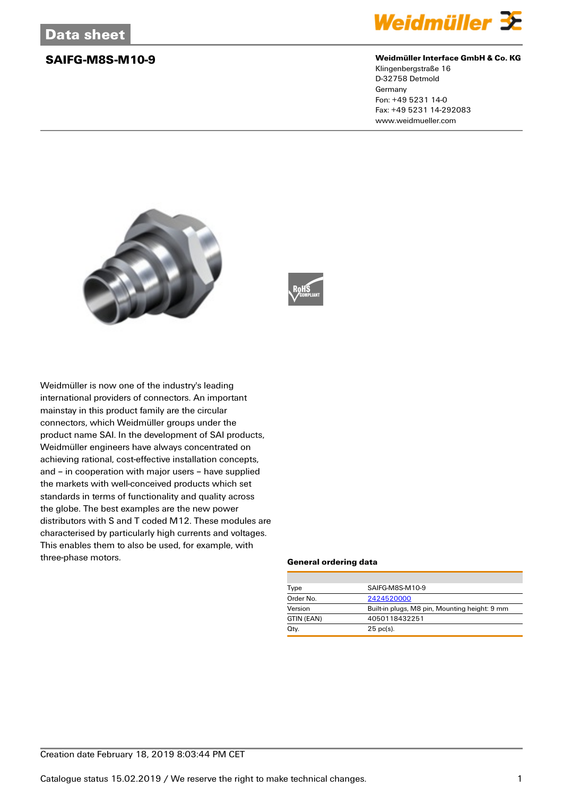

### **SAIFG-M8S-M10-9 Weidmüller Interface GmbH & Co. KG**

Klingenbergstraße 16 D-32758 Detmold Germany Fon: +49 5231 14-0 Fax: +49 5231 14-292083 www.weidmueller.com





Weidmüller is now one of the industry's leading international providers of connectors. An important mainstay in this product family are the circular connectors, which Weidmüller groups under the product name SAI. In the development of SAI products, Weidmüller engineers have always concentrated on achieving rational, cost-effective installation concepts, and – in cooperation with major users – have supplied the markets with well-conceived products which set standards in terms of functionality and quality across the globe. The best examples are the new power distributors with S and T coded M12. These modules are characterised by particularly high currents and voltages. This enables them to also be used, for example, with three-phase motors.

### **General ordering data**

| Type       | SAIFG-M8S-M10-9                               |  |
|------------|-----------------------------------------------|--|
| Order No.  | 2424520000                                    |  |
| Version    | Built-in plugs, M8 pin, Mounting height: 9 mm |  |
| GTIN (EAN) | 4050118432251                                 |  |
| Qty.       | $25$ pc(s).                                   |  |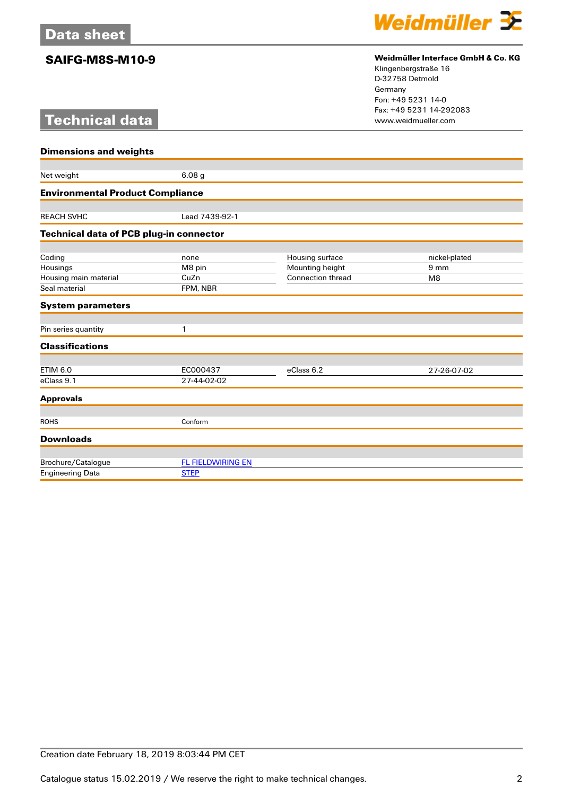# **Technical data**



## **SAIFG-M8S-M10-9 Weidmüller Interface GmbH & Co. KG**

Klingenbergstraße 16 D-32758 Detmold Germany Fon: +49 5231 14-0 Fax: +49 5231 14-292083

| <b>Dimensions and weights</b>                  |                          |                   |                 |  |
|------------------------------------------------|--------------------------|-------------------|-----------------|--|
|                                                |                          |                   |                 |  |
| Net weight                                     | 6.08 <sub>g</sub>        |                   |                 |  |
| <b>Environmental Product Compliance</b>        |                          |                   |                 |  |
| <b>REACH SVHC</b>                              | Lead 7439-92-1           |                   |                 |  |
| <b>Technical data of PCB plug-in connector</b> |                          |                   |                 |  |
|                                                |                          |                   |                 |  |
| Coding                                         | none                     | Housing surface   | nickel-plated   |  |
| Housings                                       | M8 pin                   | Mounting height   | 9 <sub>mm</sub> |  |
| Housing main material                          | CuZn                     | Connection thread | M <sub>8</sub>  |  |
| Seal material                                  | FPM, NBR                 |                   |                 |  |
| <b>System parameters</b>                       |                          |                   |                 |  |
|                                                |                          |                   |                 |  |
| Pin series quantity                            | 1                        |                   |                 |  |
| <b>Classifications</b>                         |                          |                   |                 |  |
|                                                |                          |                   |                 |  |
| <b>ETIM 6.0</b>                                | EC000437                 | eClass 6.2        | 27-26-07-02     |  |
| eClass 9.1                                     | 27-44-02-02              |                   |                 |  |
| <b>Approvals</b>                               |                          |                   |                 |  |
|                                                |                          |                   |                 |  |
| <b>ROHS</b>                                    | Conform                  |                   |                 |  |
| <b>Downloads</b>                               |                          |                   |                 |  |
|                                                |                          |                   |                 |  |
| Brochure/Catalogue                             | <b>FL FIELDWIRING EN</b> |                   |                 |  |
| <b>Engineering Data</b>                        | <b>STEP</b>              |                   |                 |  |